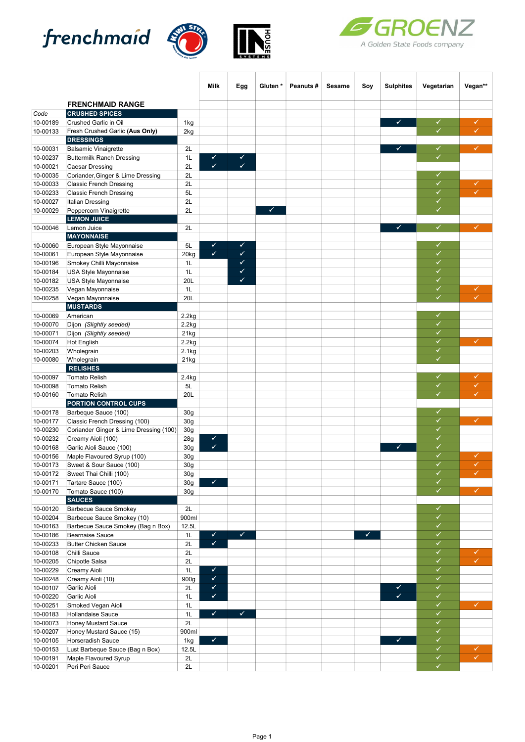





|                      |                                                     |                 | Milk                    | Egg          | Gluten* | Peanuts# | Sesame | Soy | <b>Sulphites</b> | Vegetarian | Vegan**                 |
|----------------------|-----------------------------------------------------|-----------------|-------------------------|--------------|---------|----------|--------|-----|------------------|------------|-------------------------|
|                      |                                                     |                 |                         |              |         |          |        |     |                  |            |                         |
|                      | <b>FRENCHMAID RANGE</b>                             |                 |                         |              |         |          |        |     |                  |            |                         |
| Code<br>10-00189     | <b>CRUSHED SPICES</b><br>Crushed Garlic in Oil      | 1kg             |                         |              |         |          |        |     | ✓                | ✓          | ✓                       |
| 10-00133             | Fresh Crushed Garlic (Aus Only)                     | 2kg             |                         |              |         |          |        |     |                  | ✓          | ✓                       |
|                      | <b>DRESSINGS</b>                                    |                 |                         |              |         |          |        |     |                  |            |                         |
| 10-00031             | <b>Balsamic Vinaigrette</b>                         | 2L              |                         |              |         |          |        |     |                  | ✓          | ✓                       |
| 10-00237             | <b>Buttermilk Ranch Dressing</b>                    | 1L              | ✔                       | ✔            |         |          |        |     |                  | ✓          |                         |
| 10-00021             | Caesar Dressing                                     | 2L              | $\checkmark$            | $\checkmark$ |         |          |        |     |                  |            |                         |
| 10-00035             | Coriander, Ginger & Lime Dressing                   | 2L              |                         |              |         |          |        |     |                  | ✓          |                         |
| 10-00033             | <b>Classic French Dressing</b>                      | 2L              |                         |              |         |          |        |     |                  | ✓<br>✓     | ✓<br>✓                  |
| 10-00233<br>10-00027 | <b>Classic French Dressing</b>                      | 5L              |                         |              |         |          |        |     |                  | ✓          |                         |
| 10-00029             | <b>Italian Dressing</b><br>Peppercorn Vinaigrette   | 2L<br>2L        |                         |              | ✔       |          |        |     |                  | ✓          |                         |
|                      | <b>LEMON JUICE</b>                                  |                 |                         |              |         |          |        |     |                  |            |                         |
| 10-00046             | Lemon Juice                                         | 2L              |                         |              |         |          |        |     | ✓                | ✓          | ✓                       |
|                      | <b>MAYONNAISE</b>                                   |                 |                         |              |         |          |        |     |                  |            |                         |
| 10-00060             | European Style Mayonnaise                           | 5L              | ✔                       | ✔            |         |          |        |     |                  | ✓          |                         |
| 10-00061             | European Style Mayonnaise                           | 20kg            | $\overline{\checkmark}$ | ✓            |         |          |        |     |                  | ✓          |                         |
| 10-00196             | Smokey Chilli Mayonnaise                            | 1L              |                         | ✔            |         |          |        |     |                  | ✓          |                         |
| 10-00184             | USA Style Mayonnaise                                | 1L              |                         | ✔            |         |          |        |     |                  | ✓          |                         |
| 10-00182             | USA Style Mayonnaise                                | 20L             |                         | ✔            |         |          |        |     |                  | ✓          |                         |
| 10-00235             | Vegan Mayonnaise                                    | 1L              |                         |              |         |          |        |     |                  | ✓<br>✓     | ✓<br>✓                  |
| 10-00258             | Vegan Mayonnaise<br><b>MUSTARDS</b>                 | 20L             |                         |              |         |          |        |     |                  |            |                         |
| 10-00069             | American                                            | 2.2kg           |                         |              |         |          |        |     |                  | ✓          |                         |
| 10-00070             | Dijon (Slightly seeded)                             | 2.2kg           |                         |              |         |          |        |     |                  | ✓          |                         |
| 10-00071             | Dijon (Slightly seeded)                             | 21kg            |                         |              |         |          |        |     |                  | ✓          |                         |
| 10-00074             | <b>Hot English</b>                                  | 2.2kg           |                         |              |         |          |        |     |                  | ✓          | ✓                       |
| 10-00203             | Wholegrain                                          | 2.1kg           |                         |              |         |          |        |     |                  | ✓          |                         |
| 10-00080             | Wholegrain                                          | 21kg            |                         |              |         |          |        |     |                  | ✓          |                         |
|                      | <b>RELISHES</b>                                     |                 |                         |              |         |          |        |     |                  |            |                         |
| 10-00097             | <b>Tomato Relish</b>                                | 2.4kg           |                         |              |         |          |        |     |                  | ✓<br>✓     | ✓                       |
| 10-00098             | <b>Tomato Relish</b>                                | 5L              |                         |              |         |          |        |     |                  | ✓          | ✓<br>✓                  |
| 10-00160             | <b>Tomato Relish</b><br><b>PORTION CONTROL CUPS</b> | 20L             |                         |              |         |          |        |     |                  |            |                         |
| 10-00178             | Barbeque Sauce (100)                                | 30 <sub>g</sub> |                         |              |         |          |        |     |                  | ✓          |                         |
| 10-00177             | Classic French Dressing (100)                       | 30 <sub>g</sub> |                         |              |         |          |        |     |                  | ✓          | ✓                       |
| 10-00230             | Coriander Ginger & Lime Dressing (100)              | 30g             |                         |              |         |          |        |     |                  | ✓          |                         |
| 10-00232             | Creamy Aioli (100)                                  | 28g             | ✔                       |              |         |          |        |     |                  | ✓          |                         |
| 10-00168             | Garlic Aioli Sauce (100)                            | 30 <sub>g</sub> | ✓                       |              |         |          |        |     | $\checkmark$     | ✓          |                         |
| 10-00156             | Maple Flavoured Syrup (100)                         | 30 <sub>g</sub> |                         |              |         |          |        |     |                  | ✓          | ✓                       |
| 10-00173             | Sweet & Sour Sauce (100)                            | 30 <sub>g</sub> |                         |              |         |          |        |     |                  | ✓          | ✓                       |
| 10-00172             | Sweet Thai Chilli (100)                             | 30 <sub>g</sub> |                         |              |         |          |        |     |                  | ✓          |                         |
| 10-00171<br>10-00170 | Tartare Sauce (100)<br>Tomato Sauce (100)           | 30 <sub>g</sub> | ✔                       |              |         |          |        |     |                  | ✓<br>✓     | ✓                       |
|                      | <b>SAUCES</b>                                       | 30 <sub>g</sub> |                         |              |         |          |        |     |                  |            |                         |
| 10-00120             | <b>Barbecue Sauce Smokey</b>                        | 2L              |                         |              |         |          |        |     |                  | ✓          |                         |
| 10-00204             | Barbecue Sauce Smokey (10)                          | 900ml           |                         |              |         |          |        |     |                  | ✓          |                         |
| 10-00163             | Barbecue Sauce Smokey (Bag n Box)                   | 12.5L           |                         |              |         |          |        |     |                  | ✓          |                         |
| 10-00186             | <b>Bearnaise Sauce</b>                              | 1L              | ✔                       | $\checkmark$ |         |          |        | ✔   |                  | ✓          |                         |
| 10-00233             | <b>Butter Chicken Sauce</b>                         | 2L              | $\checkmark$            |              |         |          |        |     |                  | ✓          |                         |
| 10-00108             | Chilli Sauce                                        | 2L              |                         |              |         |          |        |     |                  | ✓          | ✓                       |
| 10-00205             | Chipotle Salsa                                      | 2L              |                         |              |         |          |        |     |                  | ✓          | ✓                       |
| 10-00229             | Creamy Aioli                                        | $1L$            | ✔                       |              |         |          |        |     |                  | ✓          |                         |
| 10-00248             | Creamy Aioli (10)                                   | 900g            | $\checkmark$            |              |         |          |        |     |                  | ✓          |                         |
| 10-00107<br>10-00220 | Garlic Aioli<br>Garlic Aioli                        | 2L<br>1L        | ✔<br>✓                  |              |         |          |        |     | $\checkmark$     | ✓<br>✓     |                         |
| 10-00251             | Smoked Vegan Aioli                                  | 1L              |                         |              |         |          |        |     |                  | ✓          | ✓                       |
| 10-00183             | Hollandaise Sauce                                   | 1L              | ✔                       | ✓            |         |          |        |     |                  | ✓          |                         |
| 10-00073             | <b>Honey Mustard Sauce</b>                          | 2L              |                         |              |         |          |        |     |                  | ✓          |                         |
| 10-00207             | Honey Mustard Sauce (15)                            | 900ml           |                         |              |         |          |        |     |                  | ✓          |                         |
| 10-00105             | Horseradish Sauce                                   | 1kg             | ✓                       |              |         |          |        |     | ♦                | ✓          |                         |
| 10-00153             | Lust Barbeque Sauce (Bag n Box)                     | 12.5L           |                         |              |         |          |        |     |                  | ✓          | ✓                       |
| 10-00191             | Maple Flavoured Syrup                               | 2L              |                         |              |         |          |        |     |                  | ✓          | $\overline{\checkmark}$ |
| 10-00201             | Peri Peri Sauce                                     | 2L              |                         |              |         |          |        |     |                  | ✓          |                         |

**HOUSE**